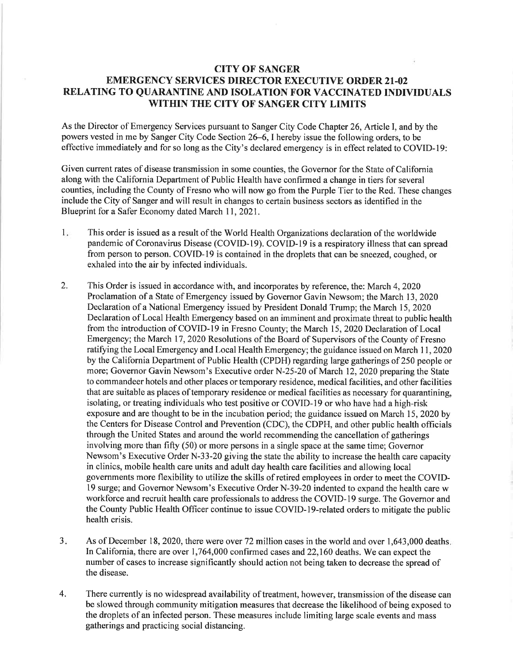## CITY OF SANGER EMERGENCY SERVICES DIRECTOR EXECUTIVE ORDER 2I-02 RELATING TO QUARANTINE AND ISOLATION FOR VACCINATED INDIVIDUALS WITHIN THE CITY OF SANGER CITY LIMITS

As the Director of Emergency Services pursuant to Sanger City Code Chapter 26, Article I, and by the powers vested in me by Sanger City Code Section 26–6, I hereby issue the following orders, to be effective immediately and for so long as the City's declared emergency is in effect related to COVID-19:

Given current rates of disease transmission in some counties, the Governor for the State of California along with the California Department of Public Health have confirmed a change in tiers for several counties, including the County of Fresno who will now go from the Purple Tier to the Red. These changes include the City of Sanger and will result in changes to certain business sectors as identified in the Blueprint for a Safer Economy dated March 11,2021.

- $1.$ This order is issued as a result of the World Health Organizations declaration of the worldwide pandemic of Coronavirus Disease (COVID-19). COVID-19 is a respiratory illness that can spread from person to person. COVID-I9 is contained in the droplets that can be sneezed, coughed, or exhaled into the air by infected individuals.
- 2. This Order is issued in accordance with, and incorporates by reference, the: March 4,2020 Proclamation of a State of Emergency issued by Governor Gavin Newsom; the March 13,2020 Declaration of a National Emergency issued by President Donald Trump; the March 15,2020 Declaration of Local Health Emergency based on an imminent and proximate threat to public health from the introduction of COVID-19 in Fresno County; the March 15, 2020 Declaration of Local Emergency; the March 17 , 2020 Resolutions of the Board of Supervisors of the County of Fresno ratifying the Local Emergency and Local Health Emergency; the guidance issued on March 11, 2020 by the California Department of Public Health (CPDH) regarding large gatherings of 250 people or more; Governor Gavin Newsom's Executive order N-25-20 of March 12,2020 preparing the State to commandeer hotels and other places or temporary residence, medical facilities, and other facilities that are suitable as places of temporary residence or medical facilities as necessary for quarantining, isolating, or treating individuals who test positive or COVID-19 or who have had a high-risk exposure and are thought to be in the incubation period; the guidance issued on March 15,2020 by the Centers for Disease Control and Prevention (CDC), the CDPH, and other public health officials through the United States and around the world recommending the cancellation of gatherings involving more than fifty (50) or more persons in a single space at the same time; Governor Newsom's Executive Order N-33-20 giving the state the ability to increase the health care capacity in clinics, mobile health care units and adult day health care facilities and allowing local govemments more flexibility to utilize the skills of retired employees in order to meet the COVIDl9 surge; and Governor Newsom's Executive Order N-39-20 indented to expand the health care w workforce and recruit health care professionals to address the COVID-19 surge. The Governor and the County Public Health Officer continue to issue COVID-1g-related orders to mitigate the public health crisis.
- As of December 18, 2020, there were over 72 million cases in the world and over 1,643,000 deaths In California, there are over  $1,764,000$  confirmed cases and  $22,160$  deaths. We can expect the number of cases to increase significantly should action not being taken to decrease the spread of the disease.  $3.$
- There currently is no widespread availability of treatment, however, transmission of the disease can be slowed through community mitigation measures that decrease the likelihood of being exposed to the droplets of an infected person. These measures include limiting large scale events and mass gatherings and practicing social distancing. 4.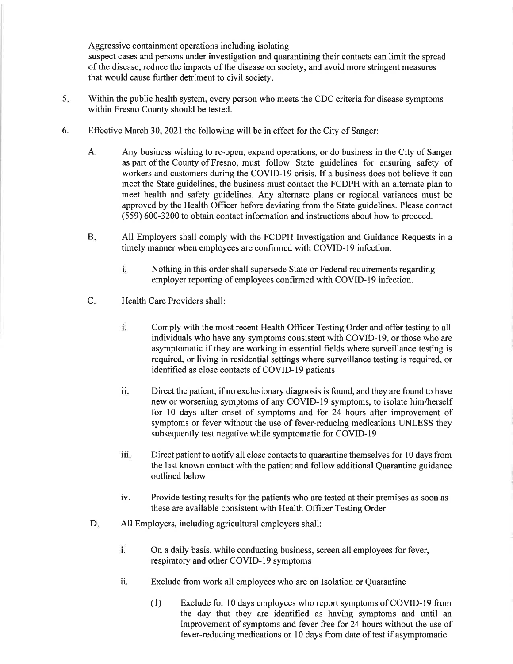Aggressive containment operations including isolating suspect cases and persons under investigation and quarantining their contacts can limit the spread of the disease, reduce the impacts of the disease on society, and avoid more stringent measures that would cause further detriment to civil society.

- $5<sub>1</sub>$ Within the public health system, every person who meets the CDC criteria for disease symptoms within Fresno County should be tested.
- 6. Effective March 30, 2021 the following will be in effect for the City of Sanger:
	- A. Any business wishing to re-open, expand operations, or do business in the City of Sanger as part of the County of Fresno, must follow State guidelines for ensuring safety of workers and customers during the COVID-I9 crisis. If a business does not believe it can meet the State guidelines, the business must contact the FCDPH with an alternate plan to meet health and safety guidelines. Any alternate plans or regional variances must be approved by the Health Officer before deviating from the State guidelines. Please contact (559) 600-3200 to obtain contact information and instructions about how to proceed.
	- All Employers shall comply with the FCDPH Investigation and Guidance Requests in <sup>a</sup> timely manner when employees are confirmed with COVID-19 infection. B
		- i. Nothing in this order shall supersede State or Federal requirements regarding employer reporting of employees confirmed with COVID-19 infection.
	- C. Health Care Providers shall:
		- i. Comply with the most recent Health Officer Testing Order and offer testing to all individuals who have any symptoms consistent with COVID-19, or those who are asymptomatic if they are working in essential fields where surveillance testing is required, or living in residential settings where surveillance testing is required, or identified as close contacts of COVID-19 patients
		- Direct the patient, if no exclusionary diagnosis is found, and they are found to have new or worsening symptoms of any COVID-19 symptoms, to isolate him/herself for l0 days after onset of symptoms and for 24 hours after improvement of symptoms or fever without the use of fever-reducing medications UNLESS they subsequently test negative while symptomatic for COVID-19 il
		- iii. Direct patient to notify all close contacts to quarantine themselves for 10 days from the last known contact with the patient and follow additional Quarantine guidance outlined below
		- iv. Provide testing results for the patients who are tested at their premises as soon as these are available consistent with Health Officer Testing Order
	- All Employers, including agricultural employers shall: D.
		- $\mathbf{i}$ . On a daily basis, while conducting business, screen all employees for fever, respiratory and other COVID-19 symptoms
		- ii. Exclude from work all employees who are on Isolation or Quarantine
			- (l) Exclude for l0 days employees who report symptoms of COVID-19 from the day that they are identified as having symptoms and until an improvement of symptoms and fever free for 24 hours without the use of fever-reducing medications or l0 days from date of test if asymptomatic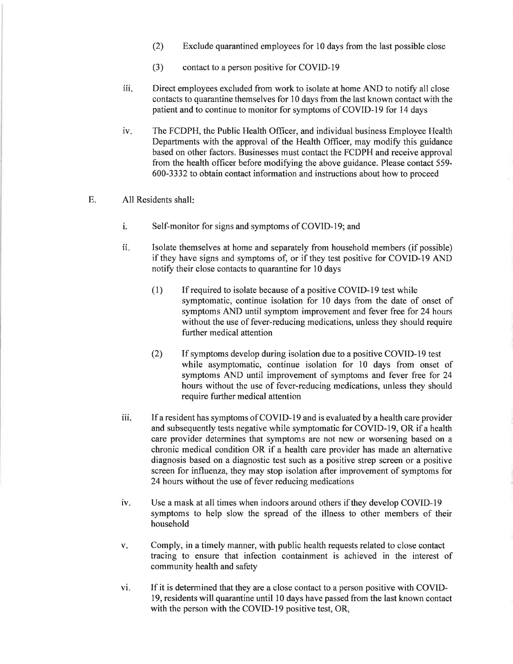- (2) Exclude quarantined employees for l0 days from the last possible close
- (3) contact to a person positive for COVID-19
- iii. Direct employees excluded from work to isolate at home AND to notify all close contacts to quarantine themselves for 10 days from the last known contact with the patient and to continue to monitor for symptoms of COVID-I9 for 14 days
- iv. The FCDPH, the Public Health Officer, and individual business Employee Health Departments with the approval of the Health Officer, may modify this guidance based on other factors. Businesses must contact the FCDPH and receive approval from the health officer before modifying the above guidance. Please contact 559-600-3332 to obtain contact information and instructions about how to proceed
- E. All Residents shall
	- i. Self-monitor for signs and symptoms of COVID-19; and
	- ii. Isolate themselves at home and separately from household members (if possible) if they have signs and symptoms of, or if they test positive for COVID-l9 AND notify their close contacts to quarantine for 10 days
		- (l) If required to isolate because of a positive COVID-19 test while symptomatic, continue isolation for l0 days from the date of onset of symptoms AND until symptom improvement and fever free for 24 hours without the use of fever-reducing medications, unless they should require further medical attention
		- (2) If symptoms develop during isolation due to a positive COVID-19 test while asymptomatic, continue isolation for l0 days from onset of symptoms AND until improvement of symptoms and fever free for 24 hours without the use of fever-reducing medications, unless they should require further medical attention
	- l1l. If a resident has symptoms of COVID-19 and is evaluated by a health care provider and subsequently tests negative while symptomatic for COVID-19, OR if a health care provider determines that symptoms are not new or worsening based on a chronic medical condition OR if a health care provider has made an alternative diagnosis based on a diagnostic test such as a positive strep screen or a positive screen for influenza, they may stop isolation after improvement of symptoms for 24 hours without the use of fever reducing medications
	- iv. Use a mask at all times when indoors around others if they develop COVID-I9 symptoms to help slow the spread of the illness to other members of their household
	- Comply, in a timely manner, with public health requests related to close contact  $V_{\star}$ tracing to ensure that infection containment is achieved in the interest of community health and safety
	- If it is determined that they are a close contact to a person positive with COVID-<sup>I</sup>9, residents will quarantine until l0 days have passed from the last known contact with the person with the COVID-19 positive test, OR,  $\mathbf{vi}$ .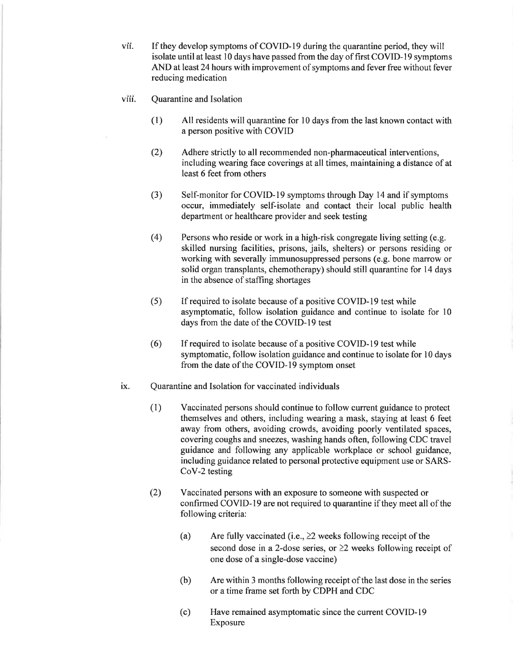vil. If they develop symptoms of COVID-19 during the quarantine period, they will isolate until at least 10 days have passed from the day of first COVID-19 symptoms AND at least 24 hours with improvement of symptoms and fever free without fever reducing medication

- viii. Quarantine and Isolation
	- (1) All residents will quarantine for l0 days from the last known contact with a person positive with COVID
	- Adhere strictly to all recommended non-pharmaceutical interventions, including wearing face coverings at all times, maintaining a distance of at least 6 feet from others (2)
	- (3) Self-monitor for COVID-I9 symptoms through Day 14 and if symptoms occur, immediately self-isolate and contact their local public health department or healthcare provider and seek testing
	- (4) Persons who reside or work in a high-risk congregate living setting (e.9. skilled nursing facilities, prisons, jails, shelters) or persons residing or working with severally immunosuppressed persons (e.g. bone marrow or solid organ transplants, chemotherapy) should still quarantine for 14 days in the absence of staffing shortages
	- (5) If required to isolate because of a positive COVID-19 test while asymptomatic, follow isolation guidance and continue to isolate for l0 days from the date of the COVID-I9 test
	- (6) If required to isolate because of a positive COVID-19 test while symptomatic, follow isolation guidance and continue to isolate for l0 days from the date of the COVID-19 symptom onset

## ix. Quarantine and Isolation for vaccinated individuals

- (1) Vaccinated persons should continue to follow current guidance to protect themselves and others, including wearing a mask, staying at least 6 feet away from others, avoiding crowds, avoiding poorly ventilated spaces, covering coughs and sneezes, washing hands often, following CDC travel guidance and following any applicable workplace or school guidance, including guidance related to personal protective equipment use or SARS-CoY-2 testing
- (2) Vaccinated persons with an exposure to someone with suspected or confirmed COVID-19 are not required to quarantine if they meet all of the following criteria:
	- (a) Are fully vaccinated (i.e.,  $\geq$  weeks following receipt of the second dose in a 2-dose series, or  $\geq 2$  weeks following receipt of one dose ofa single-dose vaccine)
	- (b) Are within 3 months following receipt of the last dose in the series or a time frame set forth by CDPH and CDC
	- Have remained asymptomatic since the current COVID-19 Exposure (c)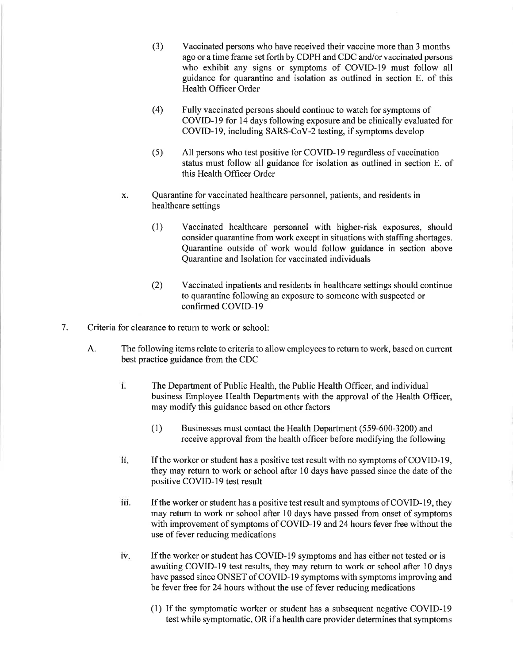- (3) Vaccinated persons who have received their vaccine more than 3 months ago or a time frame set forth by CDPH and CDC and/or vaccinated persons who exhibit any signs or symptoms of COVID-I9 must follow all guidance for quarantine and isolation as outlined in section E. of this Health Officer Order
- (4) Fully vaccinated persons should continue to watch for symptoms of COVID-19 for l4 days following exposure and be clinically evaluated for COVID-19, including SARS-CoV-2 testing, if symptoms develop
- (s) All persons who test positive for COVID-19 regardless of vaccination status must follow all guidance for isolation as outlined in section E. of this Health Officer Order
- x. Quarantine for vaccinated healthcare personnel, patients, and residents in healthcare settings
	- (1) Vaccinated healthcare personnel with higher-risk exposures, should consider quarantine from work except in situations with staffing shortages. Quarantine outside of work would follow guidance in section above Quarantine and Isolation for vaccinated individuals
	- Vaccinated inpatients and residents in healthcare settings should continue to quarantine following an exposure to someone with suspected or confirmed COVID-I9 (2)
- 7. Criteria for clearance to return to work or school:
	- The following items relate to criteria to allow employees to return to work, based on current best practice guidance from the CDC A.
		- l. The Department of Public Health, the Public Health Officer, and individual business Employee Health Departments with the approval of the Health Officer, may modify this guidance based on other factors
			- (1) Businesses must contact the Health Department (559-600-3200) and receive approval from the health officer before modifying the following
		- If the worker or student has a positive test result with no symptoms of COVID-19, they may return to work or school after l0 days have passed since the date of the positive COVID-19 test result ll.
		- iii. If the worker or student has a positive test result and symptoms of COVID-19, they may return to work or school after l0 days have passed from onset of symptoms with improvement of symptoms of COVID-19 and 24 hours fever free without the use of fever reducing medications
		- If the worker or student has COVID-19 symptoms and has either not tested or is awaiting COVID-l9 test results, they may return to work or school after 10 days have passed since ONSET of COVID-19 symptoms with symptoms improving and be fever free for 24 hours without the use of fever reducing medications iv.
			- (l) If the symptomatic worker or student has a subsequent negative COVID-l9 test while symptomatic, OR if a health care provider determines that symptoms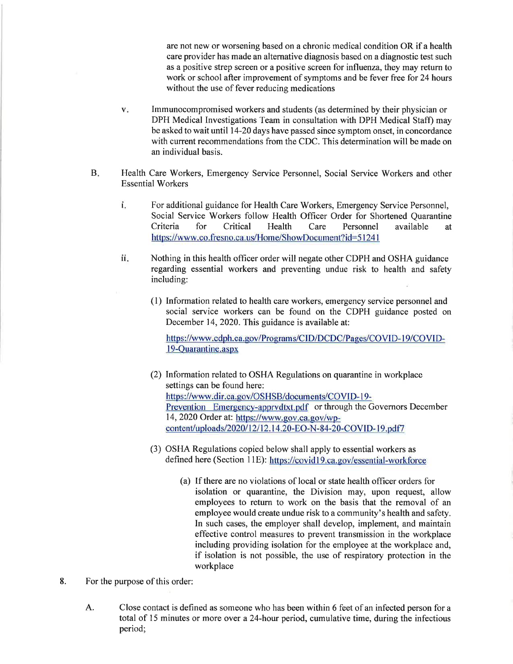are not new or worsening based on a chronic medical condition OR if a health care provider has made an alternative diagnosis based on a diagnostic test such as a positive strep screen or a positive screen for influenza, they may return to work or school after improvement of symptoms and be fever free for 24 hours without the use of fever reducing medications

- v. Immunocompromised workers and students (as determined by their physician or DPH Medical Investigations Team in consultation with DPH Medical Staff) may be asked to wait until l4-20 days have passed since symptom onset, in concordance with current recommendations from the CDC. This determination will be made on an individual basis.
- Health Care Workers, Emergency Service Personnel, Social Service Workers and other Essential Workers  $B<sub>1</sub>$ 
	- For additional guidance for Health Care Workers, Emergency Service Personnel, Social Service Workers follow Health Officer Order for Shortened Quarantine Criteria for Critical Health Care Personnel available at https://www.co.fresno.ca.us/Home/ShowDocument?id=51241 l.
	- Nothing in this health officer order will negate other CDPH and OSHA guidance regarding essential workers and preventing undue risk to health and safety including: ll.
		- (l) Information related to health care workers, emergency service personnel and social service workers can be found on the CDPH guidance posted on December 14, 2020. This guidance is available at:

https://www.cdph.ca.gov/Programs/CID/DCDC/Pages/COVID-19/COVIDl9-Ouarantine.aspx

- (2) Information related to OSHA Regulations on quarantine in workplace settings can be found here: https://www.dir.ca.gov/OSHSB/documents/COVID-19-Prevention Emergency-apprvdtxt.pdf or through the Governors December 14, 2020 Order at: https://www.gov.ca.gov/wpcontent/uploads/2020/12/12.14.20-EO-N-84-20-COVID-19.pdf7
- (3) OSHA Regulations copied below shall apply to essential workers as defined here (Section 11E): https://covid19.ca.gov/essential-workforce
	- (a) If there are no violations of local or state health officer orders for isolation or quarantine, the Division may, upon request, allow employees to return to work on the basis that the removal of an employee would create undue risk to a community's health and safety. In such cases, the employer shall develop, implement, and maintain effective control measures to prevent transmission in the workplace including providing isolation for the employee at the workplace and, if isolation is not possible, the use of respiratory protection in the workplace
- 8. For the purpose of this order:
	- Close contact is defined as someone who has been within 6 feet of an infected person for a total of 15 minutes or more over a 24-hour period, cumulative time, during the infectious period; A.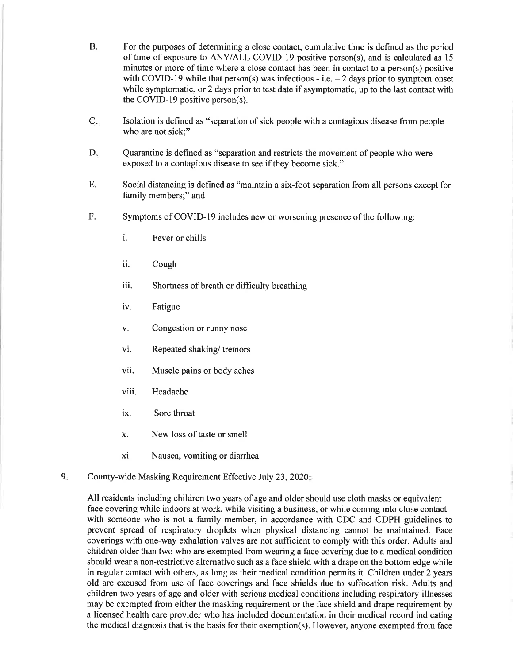- B. For the purposes of determining a close contact, cumulative time is defined as the period of time of exposure to ANY/ALL COVID-I9 positive person(s), and is calculated as l5 minutes or more of time where a close contact has been in contact to a person(s) positive with COVID-19 while that person(s) was infectious - i.e.  $-2$  days prior to symptom onset while symptomatic, or 2 days prior to test date if asymptomatic, up to the last contact with the COVID-19 positive person(s).
- $C_{\star}$ Isolation is defined as "separation of sick people with a contagious disease from people who are not sick:"
- Quarantine is defined as "separation and restricts the movement of people who were exposed to a contagious disease to see if they become sick." D.
- Social distancing is defined as "maintain a six-foot separation from all persons except for family members;" and E.
- Symptoms of COVID-19 includes new or worsening presence of the following: F.
	- i. Fever or chills
	- ii. Cough
	- iii. Shortness of breath or difficulty breathing
	- iv. Fatigue
	- v. Congestion or runny nose
	- vi. Repeated shaking/ tremors
	- vii. Muscle pains or body aches
	- viii. Headache
	- ix. Sore throat
	- x. New loss of taste or smell
	- xi. Nausea, vomiting or diarrhea
- County-wide Masking Requirement Effective July 23,2020  $9.$

All residents including children two years of age and older should use cloth masks or equivalent face covering while indoors at work, while visiting a business, or while coming into close contact with someone who is not a family member, in accordance with CDC and CDPH guidelines to prevent spread of respiratory droplets when physical distancing cannot be maintained. Face coverings with one-way exhalation valves are not sufficient to comply with this order. Adults and children older than two who are exempted from wearing a face covering due to a medical condition should wear a non-restrictive alternative such as a face shield with a drape on the bottom edge while in regular contact with others, as long as their medical condition permits it. Children under 2 years old are excused from use of face coverings and face shields due to suffocation risk. Adults and children two years of age and older with serious medical conditions including respiratory illnesses may be exempted from either the masking requirement or the face shield and drape requirement by a licensed health care provider who has included documentation in their medical record indicating the medical diagnosis that is the basis for their exemption(s). However, anyone exempted from face